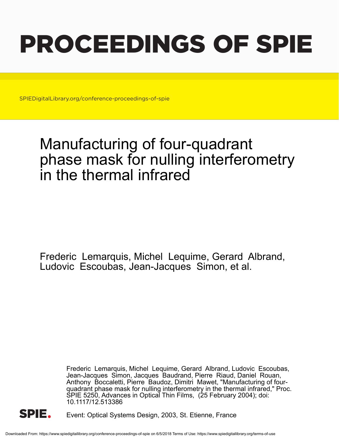# PROCEEDINGS OF SPIE

SPIEDigitalLibrary.org/conference-proceedings-of-spie

# Manufacturing of four-quadrant phase mask for nulling interferometry in the thermal infrared

Frederic Lemarquis, Michel Lequime, Gerard Albrand, Ludovic Escoubas, Jean-Jacques Simon, et al.

> Frederic Lemarquis, Michel Lequime, Gerard Albrand, Ludovic Escoubas, Jean-Jacques Simon, Jacques Baudrand, Pierre Riaud, Daniel Rouan, Anthony Boccaletti, Pierre Baudoz, Dimitri Mawet, "Manufacturing of fourquadrant phase mask for nulling interferometry in the thermal infrared," Proc. SPIE 5250, Advances in Optical Thin Films, (25 February 2004); doi: 10.1117/12.513386



Event: Optical Systems Design, 2003, St. Etienne, France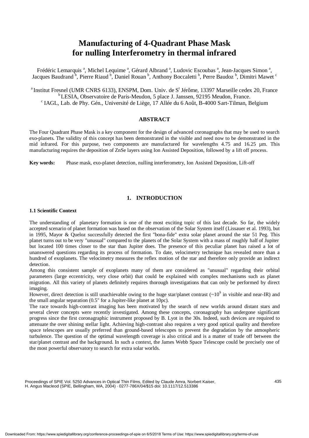# **Manufacturing of 4-Quadrant Phase Mask for nulling Interferometry in thermal infrared**

Frédéric Lemarquis<sup>a</sup>, Michel Lequime<sup>a</sup>, Gérard Albrand<sup>a</sup>, Ludovic Escoubas<sup>a</sup>, Jean-Jacques Simon<sup>a</sup>, Jacques Baudrand<sup>'b</sup>, Pierre Riaud <sup>b</sup>, Daniel Rouan <sup>b</sup>, Anthony Boccaletti <sup>b</sup>, Perre Baudoz <sup>b</sup>, Dimitri Mawet <sup>c</sup>

<sup>a</sup> Institut Fresnel (UMR CNRS 6133), ENSPM, Dom. Univ. de S<sup>t</sup> Jérôme, 13397 Marseille cedex 20, France <sup>b</sup> LESIA, Observatoire de Paris-Meudon, 5 place J. Janssen, 92195 Meudon, France.  $C$ IAGL, Lab. de Phy. Gén., Université de Liège, 17 Allée du 6 Août, B-4000 Sart-Tilman, Belgium

# **ABSTRACT**

The Four Quadrant Phase Mask is a key component for the design of advanced coronagraphs that may be used to search exo-planets. The validity of this concept has been demonstrated in the visible and need now to be demonstrated in the mid infrared. For this purpose, two components are manufactured for wavelengths 4.75 and 16.25 µm. This manufacturing requires the deposition of ZnSe layers using Ion Assisted Deposition, followed by a lift off process.

**Key words:** Phase mask, exo-planet detection, nulling interferometry, Ion Assisted Deposition, Lift-off

# **1. INTRODUCTION**

#### **1.1 Scientific Context**

The understanding of planetary formation is one of the most exciting topic of this last decade. So far, the widely accepted scenario of planet formation was based on the observation of the Solar System itself (Lissauer et al. 1993), but in 1995, Mayor & Queloz successfully detected the first "bona-fide" extra solar planet around the star 51 Peg. This planet turns out to be very "unusual" compared to the planets of the Solar System with a mass of roughly half of Jupiter but located 100 times closer to the star than Jupiter does. The presence of this peculiar planet has raised a lot of unanswered questions regarding its process of formation. To date, velocimetry technique has revealed more than a hundred of exoplanets. The velocimetry measures the reflex motion of the star and therefore only provide an indirect detection.

Among this consistent sample of exoplanets many of them are considered as "unusual" regarding their orbital parameters (large eccentricity, very close orbit) that could be explained with complex mechanisms such as planet migration. All this variety of planets definitely requires thorough investigations that can only be performed by direct imaging.

However, direct detection is still unachievable owing to the huge star/planet contrast  $(-10^9)$  in visible and near-IR) and the small angular separation (0.5" for a Jupiter-like planet at 10pc).

The race towards high-contrast imaging has been motivated by the search of new worlds around distant stars and several clever concepts were recently investigated. Among these concepts, coronagraphy has undergone significant progress since the first coronagraphic instrument proposed by B. Lyot in the 30s. Indeed, such devices are required to attenuate the over shining stellar light. Achieving high-contrast also requires a very good optical quality and therefore space telescopes are usually preferred than ground-based telescopes to prevent the degradation by the atmospheric turbulence. The question of the optimal wavelength coverage is also critical and is a matter of trade off between the star/planet contrast and the background. In such a context, the James Webb Space Telescope could be precisely one of the most powerful observatory to search for extra solar worlds.

Proceedings of SPIE Vol. 5250 Advances in Optical Thin Films, Edited by Claude Amra, Norbert Kaiser, H. Angus Macleod (SPIE, Bellingham, WA, 2004) · 0277-786X/04/\$15 doi: 10.1117/12.513386

435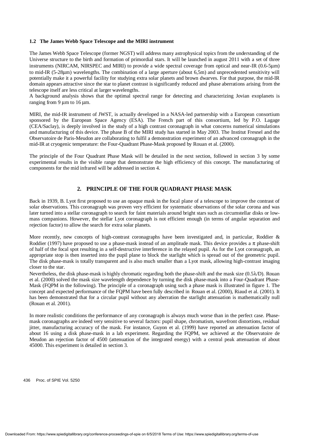#### **1.2 The James Webb Space Telescope and the MIRI instrument**

The James Webb Space Telescope (former NGST) will address many astrophysical topics from the understanding of the Universe structure to the birth and formation of primordial stars. It will be launched in august 2011 with a set of three instruments (NIRCAM, NIRSPEC and MIRI) to provide a wide spectral coverage from optical and near-IR (0.6-5µm) to mid-IR (5-28µm) wavelengths. The combination of a large aperture (about 6,5m) and unprecedented sensitivity will potentially make it a powerful facility for studying extra solar planets and brown dwarves. For that purpose, the mid-IR domain appears attractive since the star to planet contrast is significantly reduced and phase aberrations arising from the telescope itself are less critical at larger wavelengths.

A background analysis shows that the optimal spectral range for detecting and characterizing Jovian exoplanets is ranging from 9  $\mu$ m to 16  $\mu$ m.

MIRI, the mid-IR instrument of JWST, is actually developed in a NASA-led partnership with a European consortium sponsored by the European Space Agency (ESA). The French part of this consortium, led by P.O. Lagage (CEA/Saclay), is deeply involved in the study of a high contrast coronagraph in what concerns numerical simulations and manufacturing of this device. The phase B of the MIRI study has started in May 2003. The Institut Fresnel and the Observatoire de Paris-Meudon are collaborating to fulfil a demonstration experiment of an advanced coronagraph in the mid-IR at cryogenic temperature: the Four-Quadrant Phase-Mask proposed by Rouan et al. (2000).

The principle of the Four Quadrant Phase Mask will be detailed in the next section, followed in section 3 by some experimental results in the visible range that demonstrate the high efficiency of this concept. The manufacturing of components for the mid infrared will be addressed in section 4.

#### **2. PRINCIPLE OF THE FOUR QUADRANT PHASE MASK**

Back in 1939, B. Lyot first proposed to use an opaque mask in the focal plane of a telescope to improve the contrast of solar observations. This coronagraph was proven very efficient for systematic observations of the solar corona and was later turned into a stellar coronagraph to search for faint materials around bright stars such as circumstellar disks or lowmass companions. However, the stellar Lyot coronagraph is not efficient enough (in terms of angular separation and rejection factor) to allow the search for extra solar planets.

More recently, new concepts of high-contrast coronagraphs have been investigated and, in particular, Roddier & Roddier (1997) have proposed to use a phase-mask instead of an amplitude mask. This device provides a π phase-shift of half of the focal spot resulting in a self-destructive interference in the relayed pupil. As for the Lyot coronagraph, an appropriate stop is then inserted into the pupil plane to block the starlight which is spread out of the geometric pupil. The disk phase-mask is totally transparent and is also much smaller than a Lyot mask, allowing high-contrast imaging closer to the star.

Nevertheless, the disk phase-mask is highly chromatic regarding both the phase-shift and the mask size ( $0.5\lambda/D$ ). Rouan et al. (2000) solved the mask size wavelength dependence by turning the disk phase-mask into a Four-Quadrant Phase-Mask (FQPM in the following). The principle of a coronagraph using such a phase mask is illustrated in figure 1. The concept and expected performance of the FQPM have been fully described in Rouan et al. (2000), Riaud et al. (2001). It has been demonstrated that for a circular pupil without any aberration the starlight attenuation is mathematically null (Rouan et al. 2001).

In more realistic conditions the performance of any coronagraph is always much worse than in the perfect case. Phasemask coronagraphs are indeed very sensitive to several factors: pupil shape, chromatism, wavefront distortions, residual jitter, manufacturing accuracy of the mask. For instance, Guyon et al. (1999) have reported an attenuation factor of about 16 using a disk phase-mask in a lab experiment. Regarding the FQPM, we achieved at the Observatoire de Meudon an rejection factor of 4500 (attenuation of the integrated energy) with a central peak attenuation of about 45000. This experiment is detailed in section 3.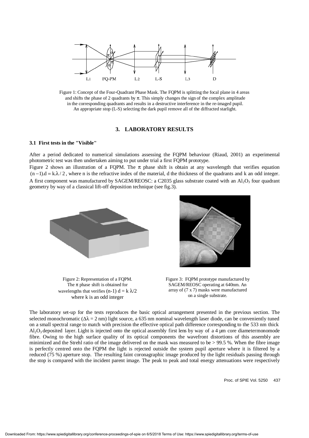

Figure 1: Concept of the Four-Quadrant Phase Mask. The FQPM is splitting the focal plane in 4 areas and shifts the phase of 2 quadrants by  $\pi$ . This simply changes the sign of the complex amplitude in the corresponding quadrants and results in a destructive interference in the re-imaged pupil. An appropriate stop (L-S) selecting the dark pupil remove all of the diffracted starlight.

## **3. LABORATORY RESULTS**

#### **3.1 First tests in the "Visible"**

After a period dedicated to numerical simulations assessing the FQPM behaviour (Riaud, 2001) an experimental photometric test was then undertaken aiming to put under trial a first FQPM prototype.

Figure 2 shows an illustration of a FQPM. The  $\pi$  phase shift is obtain at any wavelength that verifies equation  $(n-1)d = k.\lambda/2$ , where n is the refractive index of the material, d the thickness of the quadrants and k an odd integer. A first component was manufactured by SAGEM/REOSC: a C2035 glass substrate coated with an Al<sub>2</sub>O<sub>3</sub> four quadrant geometry by way of a classical lift-off deposition technique (see fig.3).



Figure 2: Representation of a FQPM. The  $\pi$  phase shift is obtained for wavelengths that verifies (n-1) d = k  $\lambda$ /2 where k is an odd integer

Figure 3: FQPM prototype manufactured by SAGEM/REOSC operating at 640nm. An array of (7 x 7) masks were manufactured on a single substrate.

The laboratory set-up for the tests reproduces the basic optical arrangement presented in the previous section. The selected monochromatic ( $\Delta \lambda = 2$  nm) light source, a 635 nm nominal wavelength laser diode, can be conveniently tuned on a small spectral range to match with precision the effective optical path difference corresponding to the 533 nm thick  $Al_2O_3$  deposited layer. Light is injected onto the optical assembly first lens by way of a 4 µm core diameter monomode fibre. Owing to the high surface quality of its optical components the wavefront distortions of this assembly are minimized and the Strehl ratio of the image delivered on the mask was measured to be > 99.5 %. When the fibre image is perfectly centred onto the FQPM the light is rejected outside the system pupil aperture where it is filtered by a reduced (75 %) aperture stop. The resulting faint coronagraphic image produced by the light residuals passing through the stop is compared with the incident parent image. The peak to peak and total energy attenuations were respectively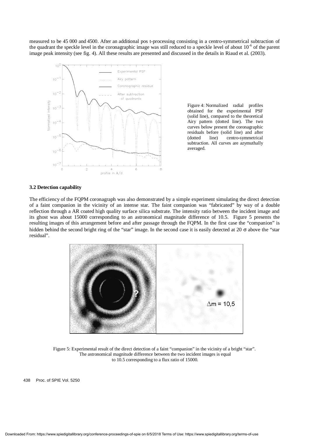measured to be 45 000 and 4500. After an additional pos t-processing consisting in a centro-symmetrical subtraction of the quadrant the speckle level in the coronagraphic image was still reduced to a speckle level of about  $10^{-6}$  of the parent image peak intensity (see fig. 4). All these results are presented and discussed in the details in Riaud et al. (2003).



Figure 4: Normalized radial profiles obtained for the experimental PSF (solid line), compared to the theoretical Airy pattern (dotted line). The two curves below present the coronagraphic residuals before (solid line) and after (dotted line) centro-symmetrical subtraction. All curves are azymuthally averaged.

#### **3.2 Detection capability**

The efficiency of the FQPM coronagraph was also demonstrated by a simple experiment simulating the direct detection of a faint companion in the vicinity of an intense star. The faint companion was "fabricated" by way of a double reflection through a AR coated high quality surface silica substrate. The intensity ratio between the incident image and its ghost was about 15000 corresponding to an astronomical magnitude difference of 10.5. Figure 5 presents the resulting images of this arrangement before and after passage through the FQPM. In the first case the "companion" is hidden behind the second bright ring of the "star" image. In the second case it is easily detected at 20  $\sigma$  above the "star residual".



Figure 5: Experimental result of the direct detection of a faint "companion" in the vicinity of a bright "star". The astronomical magnitude difference between the two incident images is equal to 10.5 corresponding to a flux ratio of 15000.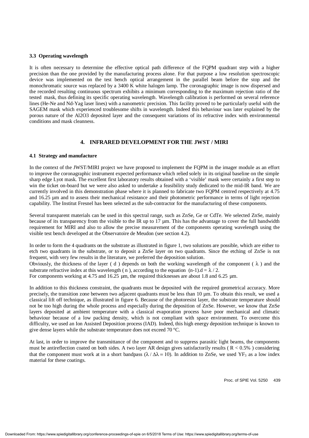#### **3.3 Operating wavelength**

It is often necessary to determine the effective optical path difference of the FQPM quadrant step with a higher precision than the one provided by the manufacturing process alone. For that purpose a low resolution spectroscopic device was implemented on the test bench optical arrangement in the parallel beam before the stop and the monochromatic source was replaced by a 3400 K white halogen lamp. The coronagraphic image is now dispersed and the recorded resulting continuous spectrum exhibits a minimum corresponding to the maximum rejection ratio of the tested mask, thus defining its specific operating wavelength. Wavelength calibration is performed on several reference lines (He-Ne and Nd-Yag laser lines) with a nanometric precision. This facility proved to be particularly useful with the SAGEM mask which experienced troublesome shifts in wavelength. Indeed this behaviour was later explained by the porous nature of the Al2O3 deposited layer and the consequent variations of its refractive index with environmental conditions and mask cleanness.

#### **4. INFRARED DEVELOPMENT FOR THE JWST / MIRI**

#### **4.1 Strategy and manufacture**

In the context of the JWST/MIRI project we have proposed to implement the FQPM in the imager module as an effort to improve the coronagraphic instrument expected performance which relied solely in its original baseline on the simple sharp edge Lyot mask. The excellent first laboratory results obtained with a 'visible' mask were certainly a first step to win the ticket on-board but we were also asked to undertake a feasibility study dedicated to the mid-IR band. We are currently involved in this demonstration phase where it is planned to fabricate two FQPM centred respectively at 4.75 and 16.25 µm and to assess their mechanical resistance and their photometric performance in terms of light rejection capability. The Institut Fresnel has been selected as the sub-contractor for the manufacturing of these components.

Several transparent materials can be used in this spectral range, such as ZnSe, Ge or CdTe. We selected ZnSe, mainly because of its transparency from the visible to the IR up to 17 µm. This has the advantage to cover the full bandwidth requirement for MIRI and also to allow the precise measurement of the components operating wavelength using the visible test bench developed at the Observatoire de Meudon (see section 4.2).

In order to form the 4 quadrants on the substrate as illustrated in figure 1, two solutions are possible, which are either to etch two quadrants in the substrate, or to deposit a ZnSe layer on two quadrants. Since the etching of ZnSe is not frequent, with very few results in the literature, we preferred the deposition solution.

Obviously, the thickness of the layer (d) depends on both the working wavelength of the component ( $\lambda$ ) and the substrate refractive index at this wavelength (n), according to the equation  $(n-1)$ .d =  $\lambda/2$ .

For components working at 4.75 and 16.25  $\mu$ m, the required thicknesses are about 1.8 and 6.25  $\mu$ m.

In addition to this thickness constraint, the quadrants must be deposited with the required geometrical accuracy. More precisely, the transition zone between two adjacent quadrants must be less than 10 µm. To obtain this result, we used a classical lift off technique, as illustrated in figure 6. Because of the photoresist layer, the substrate temperature should not be too high during the whole process and especially during the deposition of ZnSe. However, we know that ZnSe layers deposited at ambient temperature with a classical evaporation process have poor mechanical and climatic behaviour because of a low packing density, which is not compliant with space environment. To overcome this difficulty, we used an Ion Assisted Deposition process (IAD). Indeed, this high energy deposition technique is known to give dense layers while the substrate temperature does not exceed 70 °C.

At last, in order to improve the transmittance of the component and to suppress parasitic light beams, the components must be antireflection coated on both sides. A two layer AR design gives satisfactorily results ( $R < 0.5\%$ ) considering that the component must work at in a short bandpass ( $\lambda / \Delta \lambda = 10$ ). In addition to ZnSe, we used YF<sub>3</sub> as a low index material for these coatings.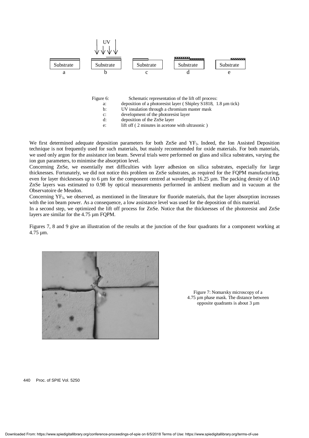

e: lift off ( 2 minutes in acetone with ultrasonic )

We first determined adequate deposition parameters for both ZnSe and YF<sub>3</sub>. Indeed, the Ion Assisted Deposition technique is not frequently used for such materials, but mainly recommended for oxide materials. For both materials, we used only argon for the assistance ion beam. Several trials were performed on glass and silica substrates, varying the ion gun parameters, to minimise the absorption level.

Concerning ZnSe, we essentially met difficulties with layer adhesion on silica substrates, especially for large thicknesses. Fortunately, we did not notice this problem on ZnSe substrates, as required for the FQPM manufacturing, even for layer thicknesses up to 6 µm for the component centred at wavelength 16.25 µm. The packing density of IAD ZnSe layers was estimated to 0.98 by optical measurements performed in ambient medium and in vacuum at the Observatoire de Meudon.

Concerning  $YF_3$ , we observed, as mentioned in the literature for fluoride materials, that the layer absorption increases with the ion beam power. As a consequence, a low assistance level was used for the deposition of this material.

In a second step, we optimized the lift off process for ZnSe. Notice that the thicknesses of the photoresist and ZnSe layers are similar for the 4.75 µm FQPM.

Figures 7, 8 and 9 give an illustration of the results at the junction of the four quadrants for a component working at 4.75 µm.



Figure 7: Nomarsky microscopy of a 4.75 µm phase mask. The distance between opposite quadrants is about 3 µm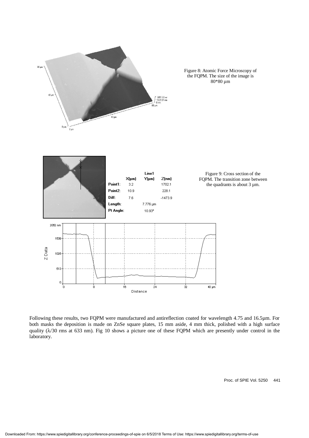

Following these results, two FQPM were manufactured and antireflection coated for wavelength 4.75 and 16.5µm. For both masks the deposition is made on ZnSe square plates, 15 mm aside, 4 mm thick, polished with a high surface quality ( $\lambda$ /30 rms at 633 nm). Fig 10 shows a picture one of these FQPM which are presently under control in the laboratory.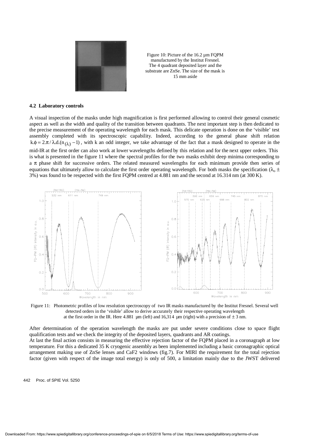

Figure 10: Picture of the 16.2 µm FQPM manufactured by the Institut Fresnel. The 4 quadrant deposited layer and the substrate are ZnSe. The size of the mask is 15 mm aside

#### **4.2 Laboratory controls**

A visual inspection of the masks under high magnification is first performed allowing to control their general cosmetic aspect as well as the width and quality of the transition between quadrants. The next important step is then dedicated to the precise measurement of the operating wavelength for each mask. This delicate operation is done on the 'visible' test assembly completed with its spectroscopic capability. Indeed, according to the general phase shift relation  $k.\phi = 2.\pi/\lambda.d.(n_{(\lambda)} - 1)$ , with k an odd integer, we take advantage of the fact that a mask designed to operate in the mid-IR at the first order can also work at lower wavelengths defined by this relation and for the next upper orders. This is what is presented in the figure 11 where the spectral profiles for the two masks exhibit deep minima corresponding to a  $\pi$  phase shift for successive orders. The related measured wavelengths for each minimum provide then series of equations that ultimately allow to calculate the first order operating wavelength. For both masks the specification ( $\lambda_0 \pm$ 3%) was found to be respected with the first FQPM centred at 4.881 nm and the second at 16.314 nm (at 300 K).



Figure 11: Photometric profiles of low resolution spectroscopy of two IR masks manufactured by the Institut Fresnel. Several well detected orders in the 'visible' allow to derive accurately their respective operating wavelength at the first order in the IR. Here 4.881  $\mu$ m (left) and 16,314  $\mu$ m (right) with a precision of  $\pm$  3 nm.

After determination of the operation wavelength the masks are put under severe conditions close to space flight qualification tests and we check the integrity of the deposited layers, quadrants and AR coatings.

At last the final action consists in measuring the effective rejection factor of the FQPM placed in a coronagraph at low temperature. For this a dedicated 35 K cryogenic assembly as been implemented including a basic coronagraphic optical arrangement making use of ZnSe lenses and CaF2 windows (fig.7). For MIRI the requirement for the total rejection factor (given with respect of the image total energy) is only of 500, a limitation mainly due to the JWST delivered